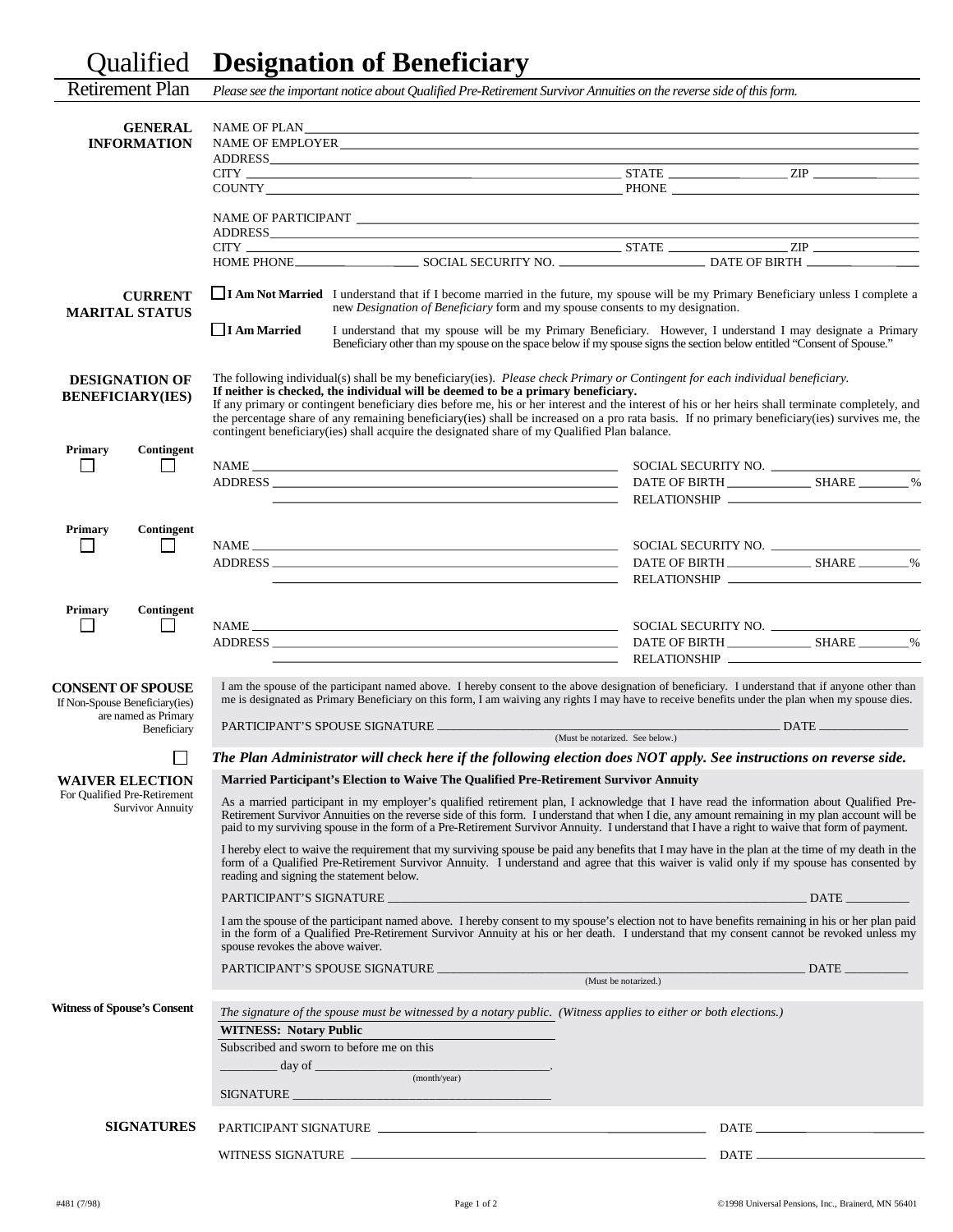## Qualified **Designation of Beneficiary**

| <b>Retirement Plan</b>                                                                            | Please see the important notice about Qualified Pre-Retirement Survivor Annuities on the reverse side of this form.                                                                                                                                                                                                                                                                                                                                                                                                                                                                                                       |                                                                                           |                                 |                                               |
|---------------------------------------------------------------------------------------------------|---------------------------------------------------------------------------------------------------------------------------------------------------------------------------------------------------------------------------------------------------------------------------------------------------------------------------------------------------------------------------------------------------------------------------------------------------------------------------------------------------------------------------------------------------------------------------------------------------------------------------|-------------------------------------------------------------------------------------------|---------------------------------|-----------------------------------------------|
| <b>GENERAL</b><br><b>INFORMATION</b>                                                              |                                                                                                                                                                                                                                                                                                                                                                                                                                                                                                                                                                                                                           |                                                                                           |                                 |                                               |
|                                                                                                   |                                                                                                                                                                                                                                                                                                                                                                                                                                                                                                                                                                                                                           |                                                                                           |                                 |                                               |
|                                                                                                   |                                                                                                                                                                                                                                                                                                                                                                                                                                                                                                                                                                                                                           |                                                                                           |                                 |                                               |
|                                                                                                   |                                                                                                                                                                                                                                                                                                                                                                                                                                                                                                                                                                                                                           |                                                                                           |                                 |                                               |
|                                                                                                   |                                                                                                                                                                                                                                                                                                                                                                                                                                                                                                                                                                                                                           |                                                                                           |                                 |                                               |
|                                                                                                   |                                                                                                                                                                                                                                                                                                                                                                                                                                                                                                                                                                                                                           |                                                                                           |                                 |                                               |
|                                                                                                   |                                                                                                                                                                                                                                                                                                                                                                                                                                                                                                                                                                                                                           |                                                                                           |                                 |                                               |
| <b>CURRENT</b><br><b>MARITAL STATUS</b>                                                           | $\Box$ <b>I Am Not Married</b> I understand that if I become married in the future, my spouse will be my Primary Beneficiary unless I complete a<br>new Designation of Beneficiary form and my spouse consents to my designation.                                                                                                                                                                                                                                                                                                                                                                                         |                                                                                           |                                 |                                               |
|                                                                                                   | $\Box$ I Am Married<br>I understand that my spouse will be my Primary Beneficiary. However, I understand I may designate a Primary<br>Beneficiary other than my spouse on the space below if my spouse signs the section below entitled "Consent of Spouse."                                                                                                                                                                                                                                                                                                                                                              |                                                                                           |                                 |                                               |
| <b>DESIGNATION OF</b><br><b>BENEFICIARY(IES)</b>                                                  | The following individual(s) shall be my beneficiary(ies). Please check Primary or Contingent for each individual beneficiary.<br>If neither is checked, the individual will be deemed to be a primary beneficiary.<br>If any primary or contingent beneficiary dies before me, his or her interest and the interest of his or her heirs shall terminate completely, and<br>the percentage share of any remaining beneficiary(ies) shall be increased on a pro rata basis. If no primary beneficiary(ies) survives me, the<br>contingent beneficiary(ies) shall acquire the designated share of my Qualified Plan balance. |                                                                                           |                                 |                                               |
| <b>Primary</b><br>Contingent                                                                      |                                                                                                                                                                                                                                                                                                                                                                                                                                                                                                                                                                                                                           |                                                                                           |                                 |                                               |
|                                                                                                   |                                                                                                                                                                                                                                                                                                                                                                                                                                                                                                                                                                                                                           |                                                                                           |                                 | SOCIAL SECURITY NO.<br>DATE OF BIRTH SHARE 54 |
|                                                                                                   |                                                                                                                                                                                                                                                                                                                                                                                                                                                                                                                                                                                                                           | <u> 1980 - Johann Stein, mars an deus Amerikaansk kommunister (</u>                       |                                 |                                               |
| Primary<br>Contingent                                                                             |                                                                                                                                                                                                                                                                                                                                                                                                                                                                                                                                                                                                                           |                                                                                           |                                 |                                               |
|                                                                                                   |                                                                                                                                                                                                                                                                                                                                                                                                                                                                                                                                                                                                                           |                                                                                           |                                 |                                               |
|                                                                                                   |                                                                                                                                                                                                                                                                                                                                                                                                                                                                                                                                                                                                                           | the control of the control of the control of the control of the control of the control of |                                 |                                               |
| <b>Primary</b><br>Contingent<br>l 1                                                               |                                                                                                                                                                                                                                                                                                                                                                                                                                                                                                                                                                                                                           |                                                                                           |                                 |                                               |
|                                                                                                   |                                                                                                                                                                                                                                                                                                                                                                                                                                                                                                                                                                                                                           |                                                                                           |                                 |                                               |
|                                                                                                   |                                                                                                                                                                                                                                                                                                                                                                                                                                                                                                                                                                                                                           |                                                                                           |                                 |                                               |
| <b>CONSENT OF SPOUSE</b><br>If Non-Spouse Beneficiary(ies)<br>are named as Primary<br>Beneficiary | I am the spouse of the participant named above. I hereby consent to the above designation of beneficiary. I understand that if anyone other than<br>me is designated as Primary Beneficiary on this form, I am waiving any rights I may have to receive benefits under the plan when my spouse dies.                                                                                                                                                                                                                                                                                                                      |                                                                                           |                                 |                                               |
|                                                                                                   |                                                                                                                                                                                                                                                                                                                                                                                                                                                                                                                                                                                                                           |                                                                                           | (Must be notarized. See below.) |                                               |
| <b>WAIVER ELECTION</b>                                                                            | The Plan Administrator will check here if the following election does NOT apply. See instructions on reverse side.<br>Married Participant's Election to Waive The Qualified Pre-Retirement Survivor Annuity                                                                                                                                                                                                                                                                                                                                                                                                               |                                                                                           |                                 |                                               |
| For Qualified Pre-Retirement<br><b>Survivor Annuity</b>                                           | As a married participant in my employer's qualified retirement plan, I acknowledge that I have read the information about Qualified Pre-<br>Retirement Survivor Annuities on the reverse side of this form. I understand that when I die, any amount remaining in my plan account will be<br>paid to my surviving spouse in the form of a Pre-Retirement Survivor Annuity. I understand that I have a right to waive that form of payment.                                                                                                                                                                                |                                                                                           |                                 |                                               |
|                                                                                                   | I hereby elect to waive the requirement that my surviving spouse be paid any benefits that I may have in the plan at the time of my death in the<br>form of a Qualified Pre-Retirement Survivor Annuity. I understand and agree that this waiver is valid only if my spouse has consented by<br>reading and signing the statement below.                                                                                                                                                                                                                                                                                  |                                                                                           |                                 |                                               |
|                                                                                                   |                                                                                                                                                                                                                                                                                                                                                                                                                                                                                                                                                                                                                           |                                                                                           | PARTICIPANT'S SIGNATURE         | $\_$ DATE $\_$                                |
|                                                                                                   | I am the spouse of the participant named above. I hereby consent to my spouse's election not to have benefits remaining in his or her plan paid<br>in the form of a Qualified Pre-Retirement Survivor Annuity at his or her death. I understand that my consent cannot be revoked unless my<br>spouse revokes the above waiver.                                                                                                                                                                                                                                                                                           |                                                                                           |                                 |                                               |
|                                                                                                   |                                                                                                                                                                                                                                                                                                                                                                                                                                                                                                                                                                                                                           |                                                                                           |                                 |                                               |
|                                                                                                   |                                                                                                                                                                                                                                                                                                                                                                                                                                                                                                                                                                                                                           |                                                                                           |                                 |                                               |
| <b>Witness of Spouse's Consent</b>                                                                | The signature of the spouse must be witnessed by a notary public. (Witness applies to either or both elections.)                                                                                                                                                                                                                                                                                                                                                                                                                                                                                                          |                                                                                           |                                 |                                               |
|                                                                                                   | <b>WITNESS: Notary Public</b>                                                                                                                                                                                                                                                                                                                                                                                                                                                                                                                                                                                             |                                                                                           |                                 |                                               |
|                                                                                                   | Subscribed and sworn to before me on this                                                                                                                                                                                                                                                                                                                                                                                                                                                                                                                                                                                 |                                                                                           |                                 |                                               |
|                                                                                                   | $\frac{1}{\text{day of } \text{}}$ day of $\frac{1}{\text{cos}(x) \cdot \text{}}$                                                                                                                                                                                                                                                                                                                                                                                                                                                                                                                                         |                                                                                           |                                 |                                               |
|                                                                                                   |                                                                                                                                                                                                                                                                                                                                                                                                                                                                                                                                                                                                                           |                                                                                           |                                 |                                               |
| <b>SIGNATURES</b>                                                                                 |                                                                                                                                                                                                                                                                                                                                                                                                                                                                                                                                                                                                                           | PARTICIPANT SIGNATURE                                                                     |                                 | $\text{DATE}$                                 |
|                                                                                                   |                                                                                                                                                                                                                                                                                                                                                                                                                                                                                                                                                                                                                           |                                                                                           |                                 |                                               |